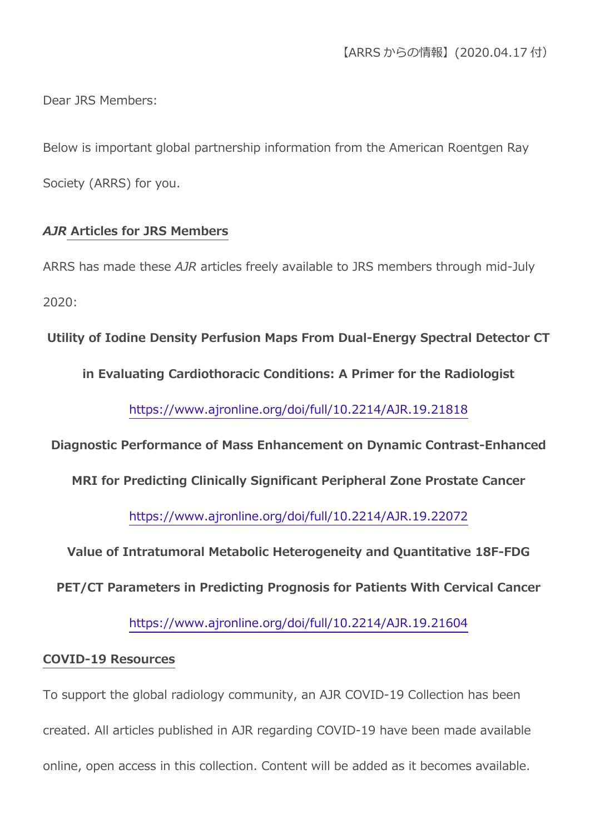Dear JRS Members:

Below is important global partnership information from the American Roentgen Ray Society (ARRS) for you.

## *AJR* **Articles for JRS Members**

ARRS has made these *AJR* articles freely available to JRS members through mid-July 2020:

**Utility of Iodine Density Perfusion Maps From Dual-Energy Spectral Detector CT** 

**in Evaluating Cardiothoracic Conditions: A Primer for the Radiologist**

https://www.ajronline.org/doi/full/10.2214/AJR.19.21818

**Diagnostic Performance of Mass Enhancement on Dynamic Contrast-Enhanced** 

**MRI for Predicting Clinically Significant Peripheral Zone Prostate Cancer**

https://www.ajronline.org/doi/full/10.2214/AJR.19.22072

**Value of Intratumoral Metabolic Heterogeneity and Quantitative 18F-FDG** 

**PET/CT Parameters in Predicting Prognosis for Patients With Cervical Cancer**

https://www.ajronline.org/doi/full/10.2214/AJR.19.21604

## **COVID-19 Resources**

To support the global radiology community, an AJR COVID-19 Collection has been created. All articles published in AJR regarding COVID-19 have been made available online, open access in this collection. Content will be added as it becomes available.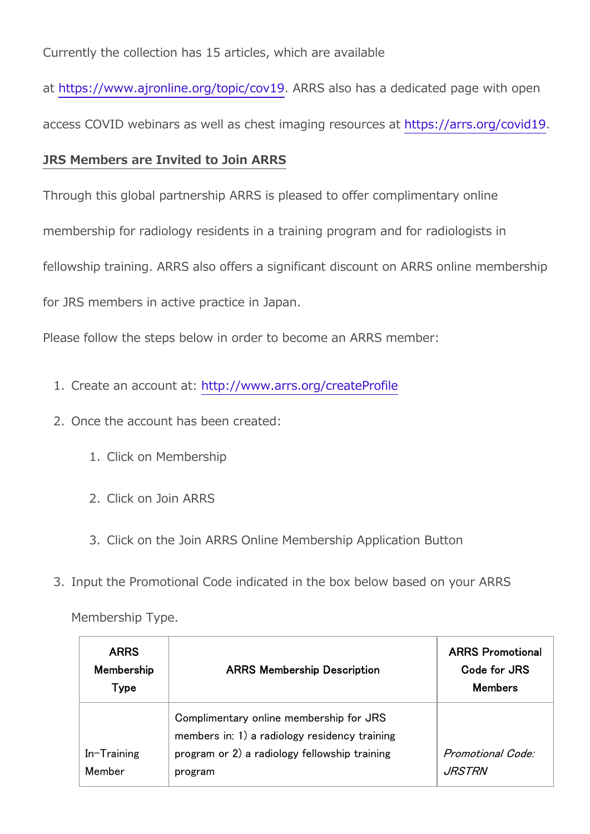Currently the collection has 15 articles, which are available

at https://www.ajronline.org/topic/cov19. ARRS also has a dedicated page with open

access COVID webinars as well as chest imaging resources at https://arrs.org/covid19.

## **JRS Members are Invited to Join ARRS**

Through this global partnership ARRS is pleased to offer complimentary online

membership for radiology residents in a training program and for radiologists in

fellowship training. ARRS also offers a significant discount on ARRS online membership

for JRS members in active practice in Japan.

Please follow the steps below in order to become an ARRS member:

- 1. Create an account at: http://www.arrs.org/createProfile
- 2. Once the account has been created:
	- 1. Click on Membership
	- 2. Click on Join ARRS
	- 3. Click on the Join ARRS Online Membership Application Button
- 3. Input the Promotional Code indicated in the box below based on your ARRS

| <b>ARRS</b><br>Membership<br>Type | <b>ARRS Membership Description</b>                                                                                                                   | <b>ARRS Promotional</b><br>Code for JRS<br><b>Members</b> |
|-----------------------------------|------------------------------------------------------------------------------------------------------------------------------------------------------|-----------------------------------------------------------|
| In-Training<br>Member             | Complimentary online membership for JRS<br>members in: 1) a radiology residency training<br>program or 2) a radiology fellowship training<br>program | Promotional Code:<br><i>JRSTRN</i>                        |

Membership Type.